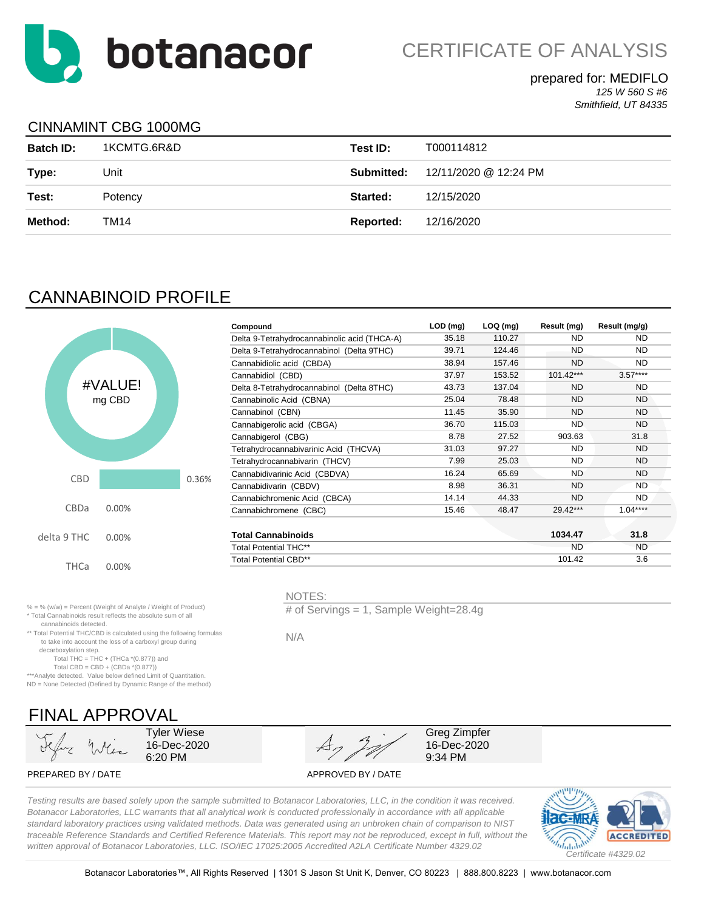

**LOD (mg) LOQ (mg) Result (mg) Result (mg/g)** 35.18 110.27 ND ND

#### prepared for: MEDIFLO *125 W 560 S #6 Smithfield, UT 84335*

## CINNAMINT CBG 1000MG

| <b>Batch ID:</b> | 1KCMTG.6R&D | Test ID:          | T000114812            |
|------------------|-------------|-------------------|-----------------------|
| Type:            | Unit        | <b>Submitted:</b> | 12/11/2020 @ 12:24 PM |
| Test:            | Potency     | Started:          | 12/15/2020            |
| Method:          | TM14        | Reported:         | 12/16/2020            |

Delta 9-Tetrahydrocannabinolic acid (THCA-A)

NOTES:

N/A

# CANNABINOID PROFILE



|          |       | Delta 9-Tetrahydrocannabinol (Delta 9THC) | 39.71 | 124.46 | <b>ND</b> | <b>ND</b> |  |
|----------|-------|-------------------------------------------|-------|--------|-----------|-----------|--|
|          |       | Cannabidiolic acid (CBDA)                 | 38.94 | 157.46 | <b>ND</b> | <b>ND</b> |  |
|          |       | Cannabidiol (CBD)                         | 37.97 | 153.52 | 101.42*** | $3.57***$ |  |
| VALUE!   |       | Delta 8-Tetrahydrocannabinol (Delta 8THC) | 43.73 | 137.04 | <b>ND</b> | <b>ND</b> |  |
| mg CBD   |       | Cannabinolic Acid (CBNA)                  | 25.04 | 78.48  | <b>ND</b> | <b>ND</b> |  |
|          |       | Cannabinol (CBN)                          | 11.45 | 35.90  | <b>ND</b> | <b>ND</b> |  |
|          |       | Cannabigerolic acid (CBGA)                | 36.70 | 115.03 | <b>ND</b> | <b>ND</b> |  |
|          |       | Cannabigerol (CBG)                        | 8.78  | 27.52  | 903.63    | 31.8      |  |
|          |       | Tetrahydrocannabivarinic Acid (THCVA)     | 31.03 | 97.27  | <b>ND</b> | <b>ND</b> |  |
|          |       | Tetrahydrocannabivarin (THCV)             | 7.99  | 25.03  | <b>ND</b> | <b>ND</b> |  |
|          | 0.36% | Cannabidivarinic Acid (CBDVA)             | 16.24 | 65.69  | <b>ND</b> | <b>ND</b> |  |
|          |       | Cannabidivarin (CBDV)                     | 8.98  | 36.31  | <b>ND</b> | ND        |  |
|          |       | Cannabichromenic Acid (CBCA)              | 14.14 | 44.33  | <b>ND</b> | ND.       |  |
| 0.00%    |       | Cannabichromene (CBC)                     | 15.46 | 48.47  | 29.42***  | $1.04***$ |  |
|          |       |                                           |       |        |           |           |  |
| 0.00%    |       | <b>Total Cannabinoids</b>                 |       |        | 1034.47   | 31.8      |  |
|          |       | <b>Total Potential THC**</b>              |       |        | <b>ND</b> | ND.       |  |
| $0.00\%$ |       | <b>Total Potential CBD**</b>              |       |        | 101.42    | 3.6       |  |
|          |       |                                           |       |        |           |           |  |

% = % (w/w) = Percent (Weight of Analyte / Weight of Product) \* Total Cannabinoids result reflects the absolute sum of all cannabinoids detected.

\*\* Total Potential THC/CBD is calculated using the following formulas to take into account the loss of a carboxyl group during decarboxylation step.

Total THC = THC + (THCa  $*(0.877)$ ) and

Total CBD = CBD + (CBDa \*(0.877))

\*\*\*Analyte detected. Value below defined Limit of Quantitation. ND = None Detected (Defined by Dynamic Range of the method)

FINAL APPROVAL

Tyler Wiese 16-Dec-2020 6:20 PM



# of Servings = 1, Sample Weight=28.4g

Greg Zimpfer 16-Dec-2020 9:34 PM

PREPARED BY / DATE APPROVED BY / DATE

*Testing results are based solely upon the sample submitted to Botanacor Laboratories, LLC, in the condition it was received. Botanacor Laboratories, LLC warrants that all analytical work is conducted professionally in accordance with all applicable standard laboratory practices using validated methods. Data was generated using an unbroken chain of comparison to NIST traceable Reference Standards and Certified Reference Materials. This report may not be reproduced, except in full, without the written approval of Botanacor Laboratories, LLC. ISO/IEC 17025:2005 Accredited A2LA Certificate Number 4329.02*

**Compound**

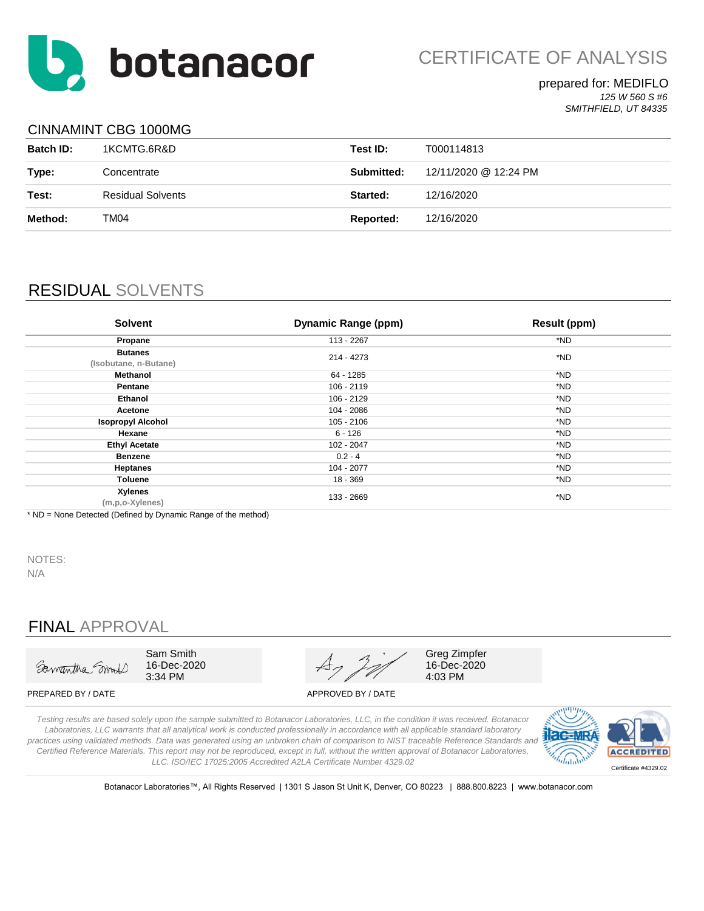

#### prepared for: MEDIFLO *125 W 560 S #6 SMITHFIELD, UT 84335*

### CINNAMINT CBG 1000MG

| <b>Batch ID:</b> | 1KCMTG.6R&D       | Test ID:          | T000114813            |
|------------------|-------------------|-------------------|-----------------------|
| Type:            | Concentrate       | <b>Submitted:</b> | 12/11/2020 @ 12:24 PM |
| Test:            | Residual Solvents | Started:          | 12/16/2020            |
| Method:          | TM04              | Reported:         | 12/16/2020            |

# RESIDUAL SOLVENTS

| <b>Solvent</b>                          | <b>Dynamic Range (ppm)</b> | <b>Result (ppm)</b> |
|-----------------------------------------|----------------------------|---------------------|
| Propane                                 | 113 - 2267                 | *ND                 |
| <b>Butanes</b><br>(Isobutane, n-Butane) | 214 - 4273                 | *ND                 |
| Methanol                                | 64 - 1285                  | *ND                 |
| Pentane                                 | $106 - 2119$               | *ND                 |
| Ethanol                                 | 106 - 2129                 | *ND                 |
| Acetone                                 | 104 - 2086                 | *ND                 |
| <b>Isopropyl Alcohol</b>                | 105 - 2106                 | *ND                 |
| Hexane                                  | $6 - 126$                  | *ND                 |
| <b>Ethyl Acetate</b>                    | 102 - 2047                 | *ND                 |
| <b>Benzene</b>                          | $0.2 - 4$                  | *ND                 |
| <b>Heptanes</b>                         | 104 - 2077                 | *ND                 |
| Toluene                                 | 18 - 369                   | *ND                 |
| Xylenes<br>(m,p,o-Xylenes)              | 133 - 2669                 | *ND                 |

\* ND = None Detected (Defined by Dynamic Range of the method)

NOTES:

N/A

## FINAL APPROVAL



Sam Smith 16-Dec-2020 3:34 PM



Greg Zimpfer 16-Dec-2020 4:03 PM

PREPARED BY / DATE APPROVED BY / DATE

*Testing results are based solely upon the sample submitted to Botanacor Laboratories, LLC, in the condition it was received. Botanacor Laboratories, LLC warrants that all analytical work is conducted professionally in accordance with all applicable standard laboratory practices using validated methods. Data was generated using an unbroken chain of comparison to NIST traceable Reference Standards and Certified Reference Materials. This report may not be reproduced, except in full, without the written approval of Botanacor Laboratories, LLC. ISO/IEC 17025:2005 Accredited A2LA Certificate Number 4329.02*



Botanacor Laboratories™, All Rights Reserved | 1301 S Jason St Unit K, Denver, CO 80223 | 888.800.8223 | www.botanacor.com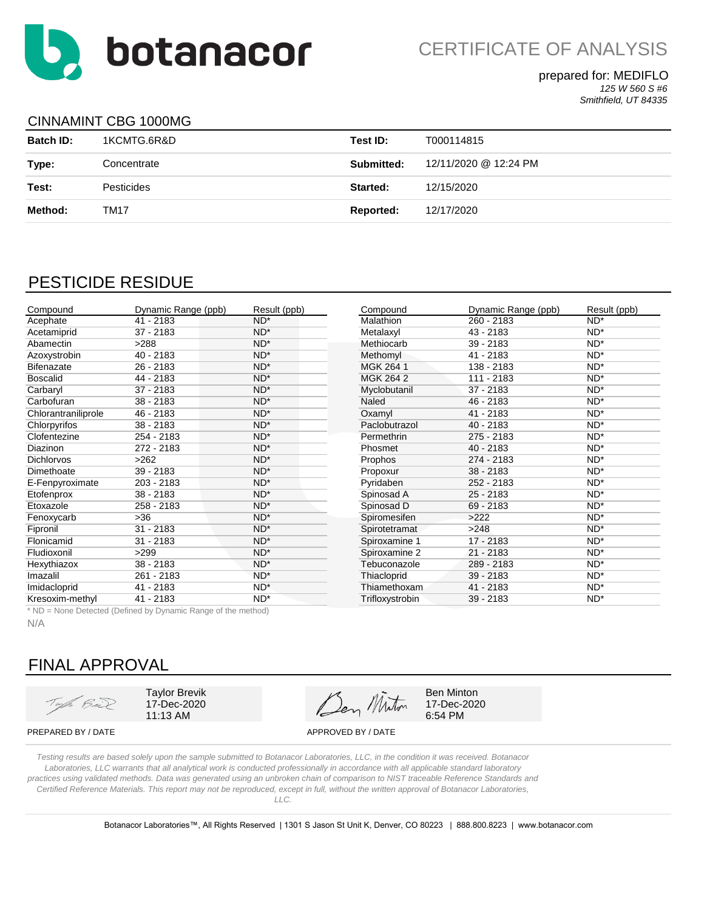

### prepared for: MEDIFLO *125 W 560 S #6*

*Smithfield, UT 84335*

## CINNAMINT CBG 1000MG

| <b>Batch ID:</b> | 1KCMTG.6R&D       | Test ID:   | T000114815            |
|------------------|-------------------|------------|-----------------------|
| Type:            | Concentrate       | Submitted: | 12/11/2020 @ 12:24 PM |
| Test:            | <b>Pesticides</b> | Started:   | 12/15/2020            |
| Method:          | TM17              | Reported:  | 12/17/2020            |

## PESTICIDE RESIDUE

| Compound            | Dynamic Range (ppb) | Result (ppb) | Compound         | Dynamic Range (ppb) | Result (ppb) |
|---------------------|---------------------|--------------|------------------|---------------------|--------------|
| Acephate            | $41 - 2183$         | $ND^*$       | <b>Malathion</b> | $260 - 2183$        | $ND^*$       |
| Acetamiprid         | $37 - 2183$         | $ND^*$       | Metalaxyl        | $43 - 2183$         | $ND^*$       |
| Abamectin           | >288                | $ND^*$       | Methiocarb       | $39 - 2183$         | $ND^*$       |
| Azoxystrobin        | $40 - 2183$         | $ND^*$       | Methomyl         | $41 - 2183$         | $ND^*$       |
| <b>Bifenazate</b>   | $26 - 2183$         | $ND^*$       | MGK 264 1        | 138 - 2183          | $ND^*$       |
| <b>Boscalid</b>     | 44 - 2183           | $ND^*$       | MGK 264 2        | 111 - 2183          | $ND^*$       |
| Carbaryl            | $37 - 2183$         | $ND^*$       | Myclobutanil     | $37 - 2183$         | $ND^*$       |
| Carbofuran          | $38 - 2183$         | $ND^*$       | Naled            | 46 - 2183           | $ND^*$       |
| Chlorantraniliprole | $46 - 2183$         | $ND^*$       | Oxamyl           | $41 - 2183$         | $ND^*$       |
| Chlorpyrifos        | $38 - 2183$         | $ND^*$       | Paclobutrazol    | $40 - 2183$         | $ND^*$       |
| Clofentezine        | 254 - 2183          | $ND^*$       | Permethrin       | 275 - 2183          | $ND^*$       |
| <b>Diazinon</b>     | 272 - 2183          | $ND^*$       | Phosmet          | $40 - 2183$         | $ND^*$       |
| <b>Dichlorvos</b>   | >262                | $ND^*$       | Prophos          | 274 - 2183          | $ND^*$       |
| Dimethoate          | $39 - 2183$         | $ND^*$       | Propoxur         | $38 - 2183$         | $ND^*$       |
| E-Fenpyroximate     | 203 - 2183          | $ND^*$       | Pyridaben        | 252 - 2183          | $ND^*$       |
| Etofenprox          | $38 - 2183$         | $ND^*$       | Spinosad A       | $25 - 2183$         | $ND^*$       |
| Etoxazole           | 258 - 2183          | $ND^*$       | Spinosad D       | $69 - 2183$         | $ND^*$       |
| Fenoxycarb          | $>36$               | $ND^*$       | Spiromesifen     | >222                | $ND^*$       |
| Fipronil            | $31 - 2183$         | $ND^*$       | Spirotetramat    | >248                | $ND^*$       |
| Flonicamid          | $31 - 2183$         | $ND^*$       | Spiroxamine 1    | 17 - 2183           | $ND^*$       |
| Fludioxonil         | >299                | $ND^*$       | Spiroxamine 2    | $21 - 2183$         | $ND^*$       |
| Hexythiazox         | $38 - 2183$         | $ND^*$       | Tebuconazole     | 289 - 2183          | $ND^*$       |
| Imazalil            | 261 - 2183          | $ND^*$       | Thiacloprid      | $39 - 2183$         | $ND^*$       |
| Imidacloprid        | $41 - 2183$         | $ND^*$       | Thiamethoxam     | $41 - 2183$         | $ND^*$       |
| Kresoxim-methyl     | 41 - 2183           | $ND^*$       | Trifloxystrobin  | $39 - 2183$         | $ND^*$       |

\* ND = None Detected (Defined by Dynamic Range of the method)

N/A

# FINAL APPROVAL

Type Bul

Taylor Brevik 17-Dec-2020 11:13 AM

Ben Minton

Ben Minton 17-Dec-2020 6:54 PM

PREPARED BY / DATE APPROVED BY / DATE

*Testing results are based solely upon the sample submitted to Botanacor Laboratories, LLC, in the condition it was received. Botanacor Laboratories, LLC warrants that all analytical work is conducted professionally in accordance with all applicable standard laboratory practices using validated methods. Data was generated using an unbroken chain of comparison to NIST traceable Reference Standards and Certified Reference Materials. This report may not be reproduced, except in full, without the written approval of Botanacor Laboratories, LLC.* 

Botanacor Laboratories™, All Rights Reserved | 1301 S Jason St Unit K, Denver, CO 80223 | 888.800.8223 | www.botanacor.com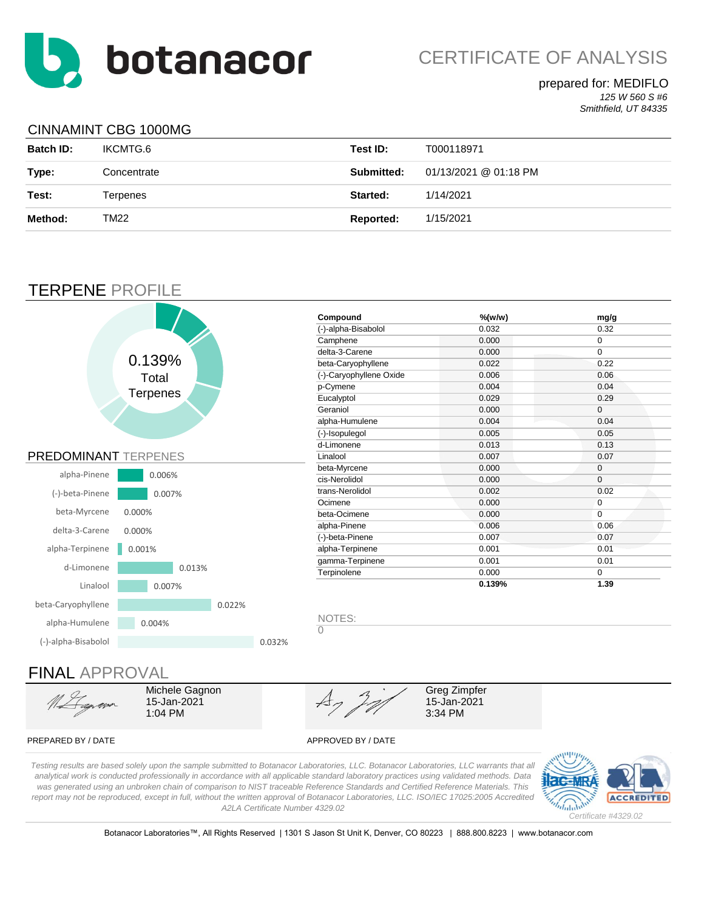

### prepared for: MEDIFLO *125 W 560 S #6*

*Smithfield, UT 84335*

## CINNAMINT CBG 1000MG

| <b>Batch ID:</b> | IKCMTG.6    | Test ID:         | T000118971            |
|------------------|-------------|------------------|-----------------------|
| Type:            | Concentrate | Submitted:       | 01/13/2021 @ 01:18 PM |
| Test:            | Terpenes    | Started:         | 1/14/2021             |
| Method:          | TM22        | <b>Reported:</b> | 1/15/2021             |

## TERPENE PROFILE



# FINAL APPROVAL



Michele Gagnon 15-Jan-2021 1:04 PM

Greg Zimpfer 15-Jan-2021 3:34 PM

### PREPARED BY / DATE APPROVED BY / DATE

*Testing results are based solely upon the sample submitted to Botanacor Laboratories, LLC. Botanacor Laboratories, LLC warrants that all analytical work is conducted professionally in accordance with all applicable standard laboratory practices using validated methods. Data was generated using an unbroken chain of comparison to NIST traceable Reference Standards and Certified Reference Materials. This report may not be reproduced, except in full, without the written approval of Botanacor Laboratories, LLC. ISO/IEC 17025:2005 Accredited A2LA Certificate Number 4329.02*



Botanacor Laboratories™, All Rights Reserved | 1301 S Jason St Unit K, Denver, CO 80223 | 888.800.8223 | www.botanacor.com